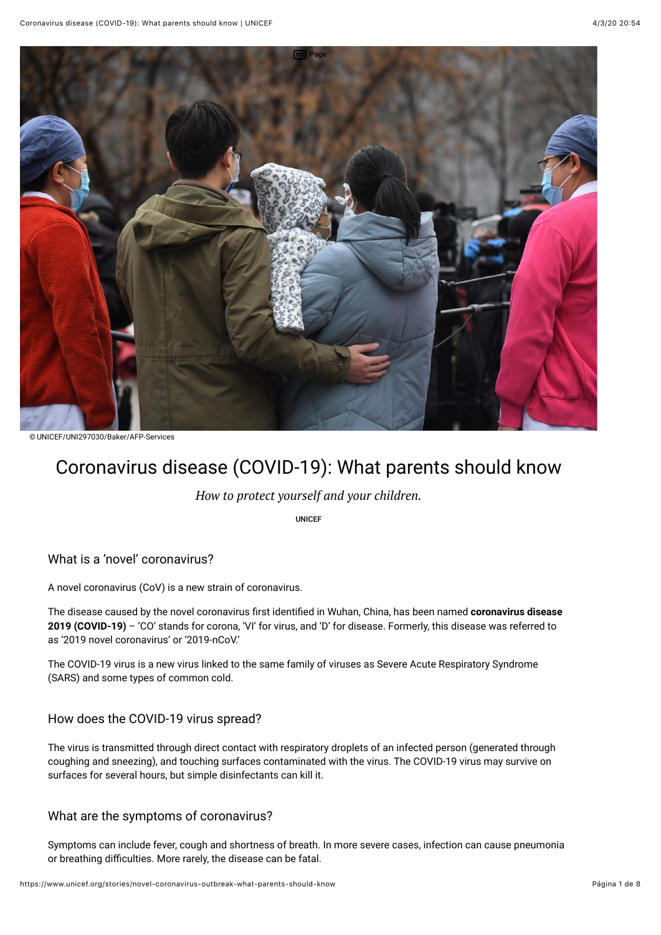

© UNICEF/UNI297030/Baker/AFP-Services

# Coronavirus disease (COVID-19): What parents should know

*How to protect yourself and your children.*

UNICEF

What is a 'novel' coronavirus?

A novel coronavirus (CoV) is a new strain of coronavirus.

The disease caused by the novel coronavirus first identified in Wuhan, China, has been named **coronavirus disease 2019 (COVID-19)** – 'CO' stands for corona, 'VI' for virus, and 'D' for disease. Formerly, this disease was referred to as '2019 novel coronavirus' or '2019-nCoV.'

The COVID-19 virus is a new virus linked to the same family of viruses as Severe Acute Respiratory Syndrome (SARS) and some types of common cold.

#### How does the COVID-19 virus spread?

The virus is transmitted through direct contact with respiratory droplets of an infected person (generated through coughing and sneezing), and touching surfaces contaminated with the virus. The COVID-19 virus may survive on surfaces for several hours, but simple disinfectants can kill it.

#### What are the symptoms of coronavirus?

Symptoms can include fever, cough and shortness of breath. In more severe cases, infection can cause pneumonia or breathing difficulties. More rarely, the disease can be fatal.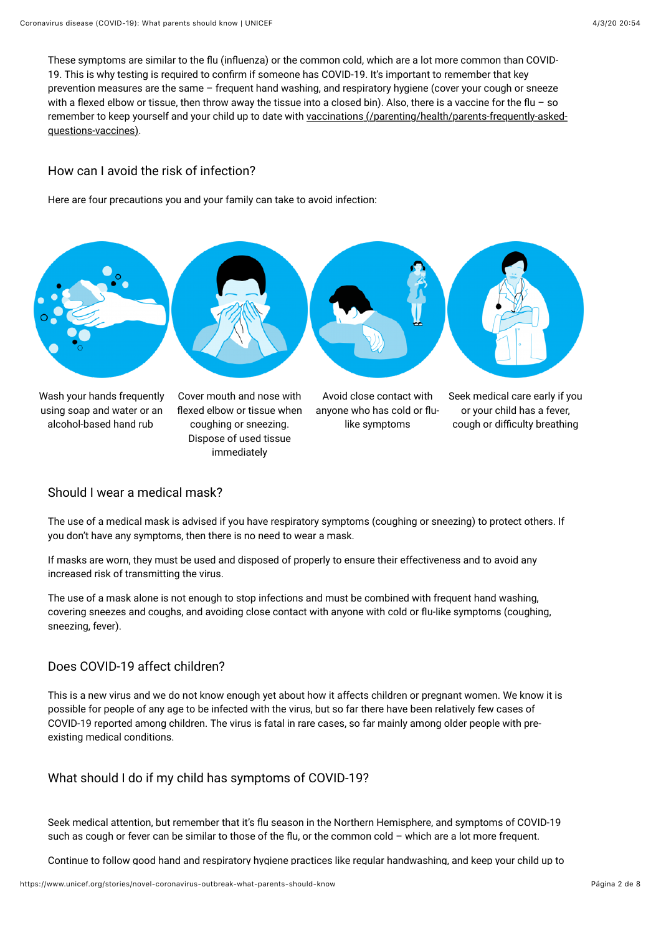These symptoms are similar to the flu (influenza) or the common cold, which are a lot more common than COVID-19. This is why testing is required to confirm if someone has COVID-19. It's important to remember that key prevention measures are the same – frequent hand washing, and respiratory hygiene (cover your cough or sneeze with a flexed elbow or tissue, then throw away the tissue into a closed bin). Also, there is a vaccine for the flu – so [remember to keep yourself and your child up to date with vaccinations \(/parenting/health/parents-frequently-asked](https://www.unicef.org/parenting/health/parents-frequently-asked-questions-vaccines)questions-vaccines).

#### How can I avoid the risk of infection?

Here are four precautions you and your family can take to avoid infection:



#### Should I wear a medical mask?

The use of a medical mask is advised if you have respiratory symptoms (coughing or sneezing) to protect others. If you don't have any symptoms, then there is no need to wear a mask.

If masks are worn, they must be used and disposed of properly to ensure their effectiveness and to avoid any increased risk of transmitting the virus.

immediately

The use of a mask alone is not enough to stop infections and must be combined with frequent hand washing, covering sneezes and coughs, and avoiding close contact with anyone with cold or flu-like symptoms (coughing, sneezing, fever).

#### Does COVID-19 affect children?

This is a new virus and we do not know enough yet about how it affects children or pregnant women. We know it is possible for people of any age to be infected with the virus, but so far there have been relatively few cases of COVID-19 reported among children. The virus is fatal in rare cases, so far mainly among older people with preexisting medical conditions.

#### What should I do if my child has symptoms of COVID-19?

Seek medical attention, but remember that it's flu season in the Northern Hemisphere, and symptoms of COVID-19 such as cough or fever can be similar to those of the flu, or the common cold – which are a lot more frequent.

Continue to follow good hand and respiratory hygiene practices like regular handwashing, and keep your child up to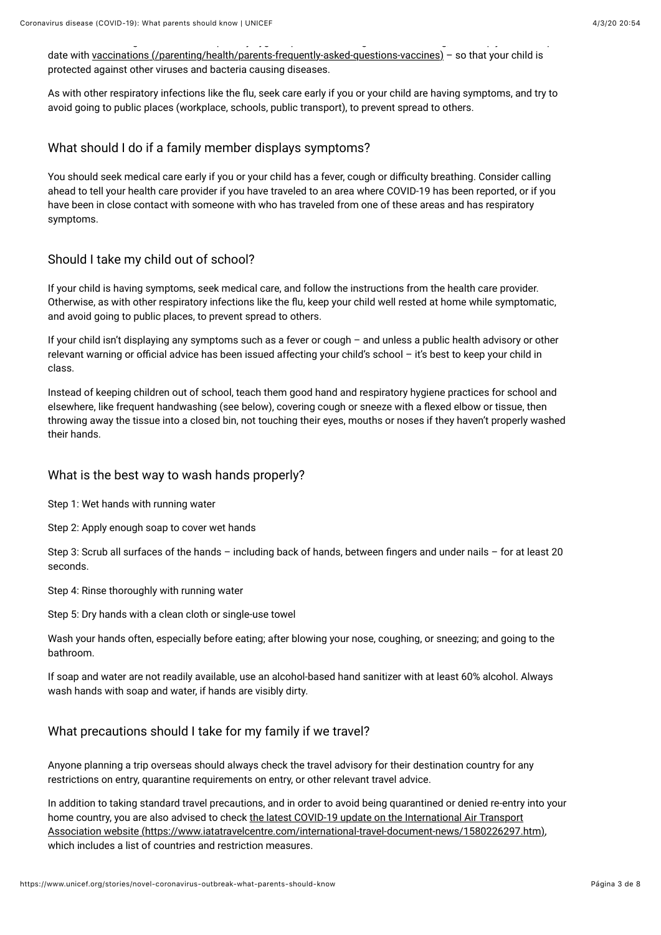date with [vaccinations \(/parenting/health/parents-frequently-asked-questions-vaccines\)](https://www.unicef.org/parenting/health/parents-frequently-asked-questions-vaccines) – so that your child is protected against other viruses and bacteria causing diseases.

Continue to follow good hand and respiratory hygiene practices like regular handwashing, and keep your child up to

As with other respiratory infections like the flu, seek care early if you or your child are having symptoms, and try to avoid going to public places (workplace, schools, public transport), to prevent spread to others.

#### What should I do if a family member displays symptoms?

You should seek medical care early if you or your child has a fever, cough or difficulty breathing. Consider calling ahead to tell your health care provider if you have traveled to an area where COVID-19 has been reported, or if you have been in close contact with someone with who has traveled from one of these areas and has respiratory symptoms.

#### Should I take my child out of school?

If your child is having symptoms, seek medical care, and follow the instructions from the health care provider. Otherwise, as with other respiratory infections like the flu, keep your child well rested at home while symptomatic, and avoid going to public places, to prevent spread to others.

If your child isn't displaying any symptoms such as a fever or cough – and unless a public health advisory or other relevant warning or official advice has been issued affecting your child's school - it's best to keep your child in class.

Instead of keeping children out of school, teach them good hand and respiratory hygiene practices for school and elsewhere, like frequent handwashing (see below), covering cough or sneeze with a flexed elbow or tissue, then throwing away the tissue into a closed bin, not touching their eyes, mouths or noses if they haven't properly washed their hands.

#### What is the best way to wash hands properly?

Step 1: Wet hands with running water

Step 2: Apply enough soap to cover wet hands

Step 3: Scrub all surfaces of the hands - including back of hands, between fingers and under nails - for at least 20 seconds.

Step 4: Rinse thoroughly with running water

Step 5: Dry hands with a clean cloth or single-use towel

Wash your hands often, especially before eating; after blowing your nose, coughing, or sneezing; and going to the bathroom.

If soap and water are not readily available, use an alcohol-based hand sanitizer with at least 60% alcohol. Always wash hands with soap and water, if hands are visibly dirty.

#### What precautions should I take for my family if we travel?

Anyone planning a trip overseas should always check the travel advisory for their destination country for any restrictions on entry, quarantine requirements on entry, or other relevant travel advice.

In addition to taking standard travel precautions, and in order to avoid being quarantined or denied re-entry into your home country, you are also advised to check the latest COVID-19 update on the International Air Transport [Association website \(https://www.iatatravelcentre.com/international-travel-document-news/1580226297.htm\),](https://www.iatatravelcentre.com/international-travel-document-news/1580226297.htm) which includes a list of countries and restriction measures.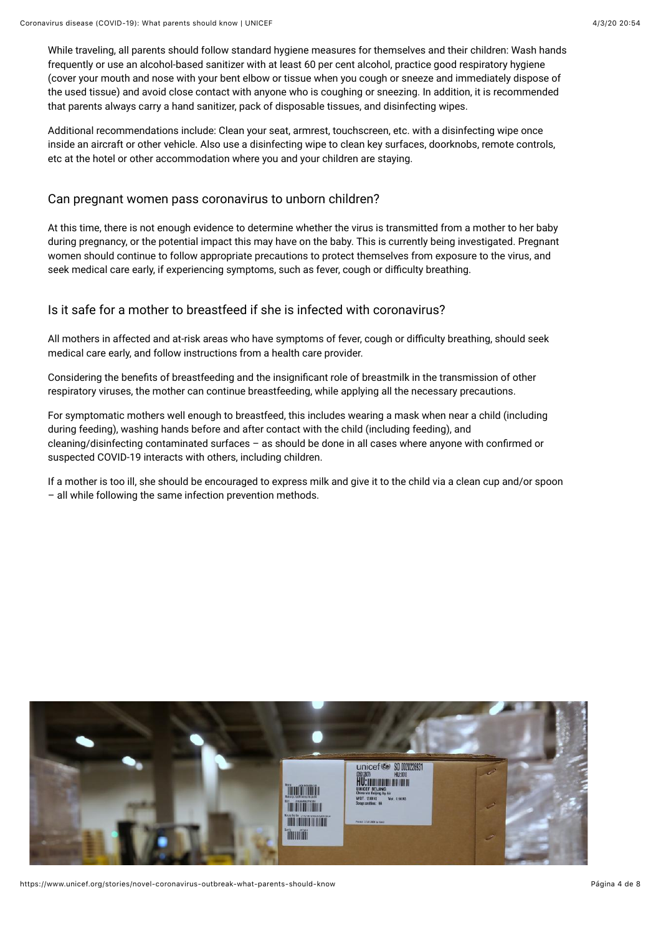While traveling, all parents should follow standard hygiene measures for themselves and their children: Wash hands frequently or use an alcohol-based sanitizer with at least 60 per cent alcohol, practice good respiratory hygiene (cover your mouth and nose with your bent elbow or tissue when you cough or sneeze and immediately dispose of the used tissue) and avoid close contact with anyone who is coughing or sneezing. In addition, it is recommended that parents always carry a hand sanitizer, pack of disposable tissues, and disinfecting wipes.

Additional recommendations include: Clean your seat, armrest, touchscreen, etc. with a disinfecting wipe once inside an aircraft or other vehicle. Also use a disinfecting wipe to clean key surfaces, doorknobs, remote controls, etc at the hotel or other accommodation where you and your children are staying.

#### Can pregnant women pass coronavirus to unborn children?

At this time, there is not enough evidence to determine whether the virus is transmitted from a mother to her baby during pregnancy, or the potential impact this may have on the baby. This is currently being investigated. Pregnant women should continue to follow appropriate precautions to protect themselves from exposure to the virus, and seek medical care early, if experiencing symptoms, such as fever, cough or difficulty breathing.

### Is it safe for a mother to breastfeed if she is infected with coronavirus?

All mothers in affected and at-risk areas who have symptoms of fever, cough or difficulty breathing, should seek medical care early, and follow instructions from a health care provider.

Considering the benefits of breastfeeding and the insignificant role of breastmilk in the transmission of other respiratory viruses, the mother can continue breastfeeding, while applying all the necessary precautions.

For symptomatic mothers well enough to breastfeed, this includes wearing a mask when near a child (including during feeding), washing hands before and after contact with the child (including feeding), and cleaning/disinfecting contaminated surfaces - as should be done in all cases where anyone with confirmed or suspected COVID-19 interacts with others, including children.

If a mother is too ill, she should be encouraged to express milk and give it to the child via a clean cup and/or spoon – all while following the same infection prevention methods.



https://www.unicef.org/stories/novel-coronavirus-outbreak-what-parents-should-know Página 4 de 8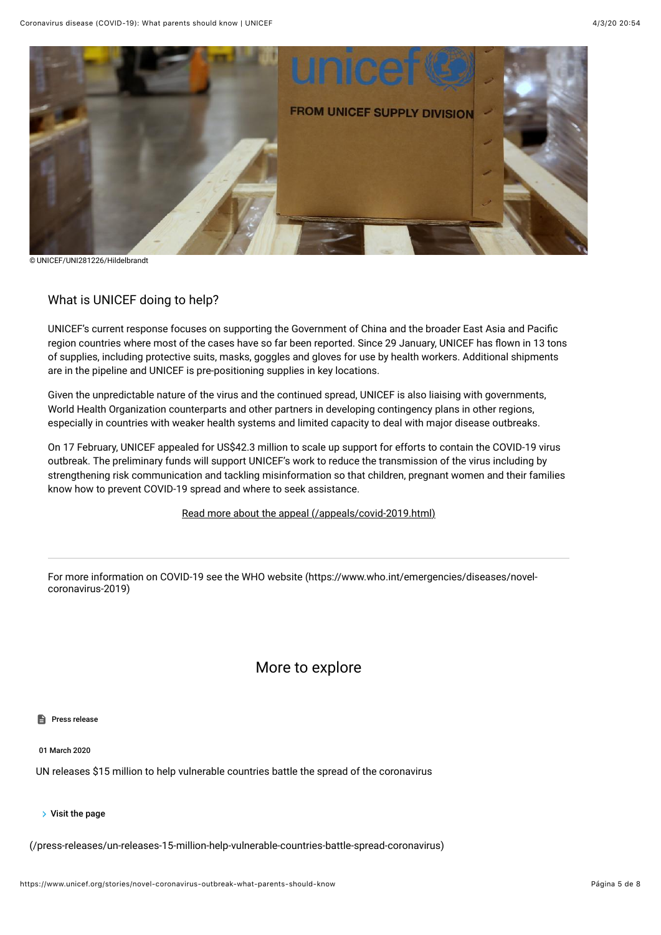

© UNICEF/UNI281226/Hildelbrandt

#### What is UNICEF doing to help?

UNICEF's current response focuses on supporting the Government of China and the broader East Asia and Pacific region countries where most of the cases have so far been reported. Since 29 January, UNICEF has flown in 13 tons of supplies, including protective suits, masks, goggles and gloves for use by health workers. Additional shipments are in the pipeline and UNICEF is pre-positioning supplies in key locations.

Given the unpredictable nature of the virus and the continued spread, UNICEF is also liaising with governments, World Health Organization counterparts and other partners in developing contingency plans in other regions, especially in countries with weaker health systems and limited capacity to deal with major disease outbreaks.

On 17 February, UNICEF appealed for US\$42.3 million to scale up support for efforts to contain the COVID-19 virus outbreak. The preliminary funds will support UNICEF's work to reduce the transmission of the virus including by strengthening risk communication and tackling misinformation so that children, pregnant women and their families know how to prevent COVID-19 spread and where to seek assistance.

#### [Read more about the appeal \(/appeals/covid-2019.html\)](https://www.unicef.org/appeals/covid-2019.html)

[For more information on COVID-19 see the WHO website \(https://www.who.int/emergencies/diseases/novel](https://www.who.int/emergencies/diseases/novel-coronavirus-2019)coronavirus-2019)

## More to explore

#### **Press release**

01 March 2020

UN releases \$15 million to help vulnerable countries battle the spread of the coronavirus

 $\triangleright$  Visit the page

[\(/press-releases/un-releases-15-million-help-vulnerable-countries-battle-spread-coronavirus\)](https://www.unicef.org/press-releases/un-releases-15-million-help-vulnerable-countries-battle-spread-coronavirus)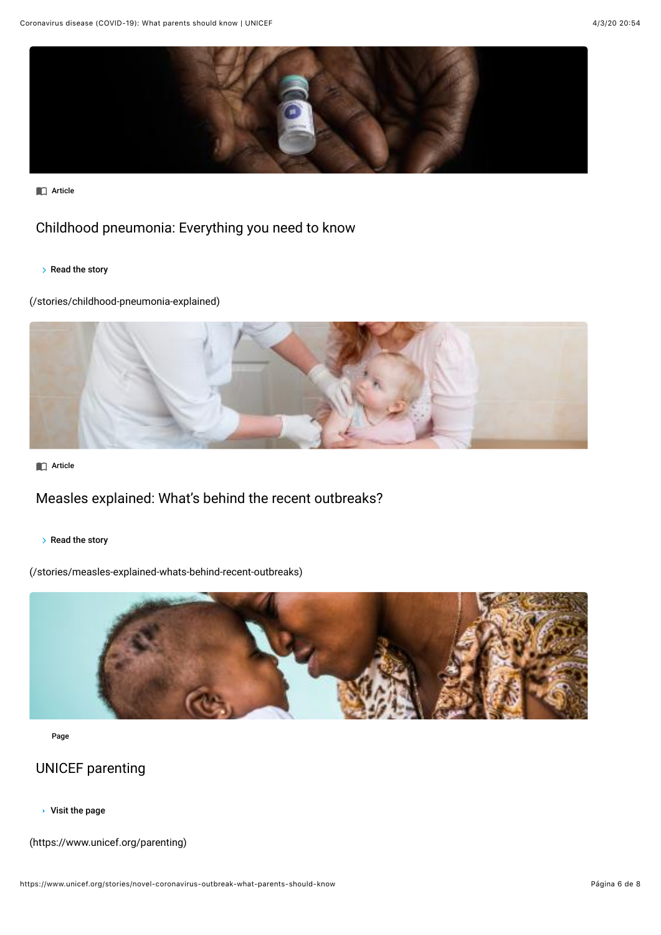

**n** Article

## [Childhood pneumonia: Everything you need to know](https://www.unicef.org/stories/childhood-pneumonia-explained)

 $\triangleright$  Read the story

(/stories/childhood-pneumonia-explained)



**C** Article

# [Measles explained: What's behind the recent outbreaks?](https://www.unicef.org/stories/measles-explained-whats-behind-recent-outbreaks)

 $\triangleright$  Read the story

(/stories/measles-explained-whats-behind-recent-outbreaks)



Page

## UNICEF parenting

Visit the page

[\(https://www.unicef.org/parenting\)](https://www.unicef.org/parenting)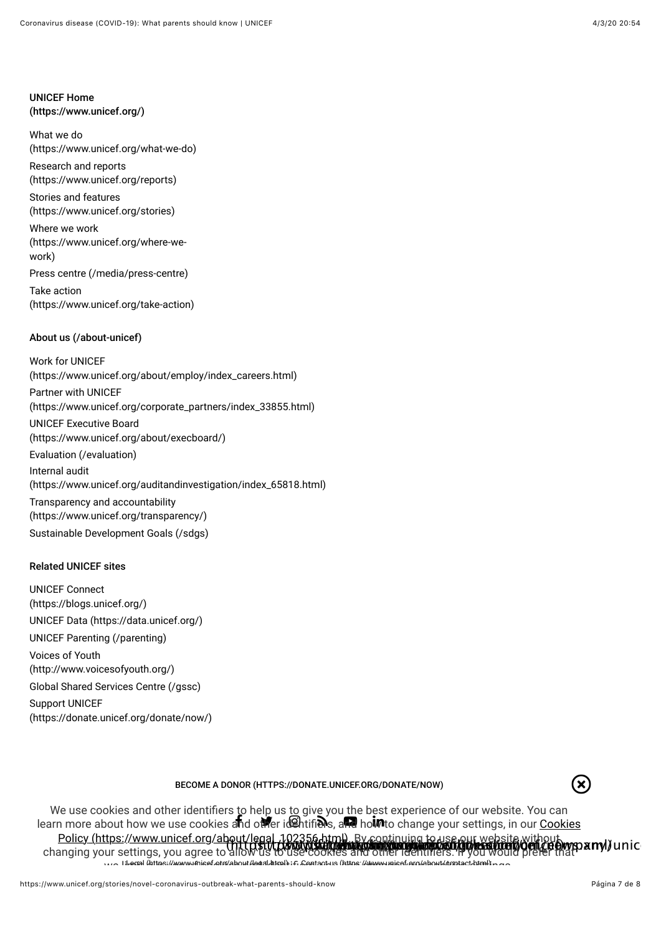#### UNICEF Home [\(https://www.unicef.org/\)](https://www.unicef.org/)

What we do [\(https://www.unicef.org/what-we-do\)](https://www.unicef.org/what-we-do)

Research and reports [\(https://www.unicef.org/reports\)](https://www.unicef.org/reports)

Stories and features [\(https://www.unicef.org/stories\)](https://www.unicef.org/stories)

Where we work [\(https://www.unicef.org/where-we](https://www.unicef.org/where-we-work)work)

[Press centre \(/media/press-centre\)](https://www.unicef.org/media/press-centre)

Take action [\(https://www.unicef.org/take-action\)](https://www.unicef.org/take-action)

### [About us \(/about-unicef\)](https://www.unicef.org/about-unicef)

Work for UNICEF [\(https://www.unicef.org/about/employ/index\\_careers.html\)](https://www.unicef.org/about/employ/index_careers.html) Partner with UNICEF [\(https://www.unicef.org/corporate\\_partners/index\\_33855.html\)](https://www.unicef.org/corporate_partners/index_33855.html) UNICEF Executive Board [\(https://www.unicef.org/about/execboard/\)](https://www.unicef.org/about/execboard/) [Evaluation \(/evaluation\)](https://www.unicef.org/evaluation) Internal audit [\(https://www.unicef.org/auditandinvestigation/index\\_65818.html\)](https://www.unicef.org/auditandinvestigation/index_65818.html) Transparency and accountability [\(https://www.unicef.org/transparency/\)](https://www.unicef.org/transparency/) [Sustainable Development Goals \(/sdgs\)](https://www.unicef.org/sdgs)

#### Related UNICEF sites

UNICEF Connect [\(https://blogs.unicef.org/\)](https://blogs.unicef.org/) [UNICEF Data \(https://data.unicef.org/\)](https://data.unicef.org/) [UNICEF Parenting \(/parenting\)](https://www.unicef.org/parenting) Voices of Youth [\(http://www.voicesofyouth.org/\)](http://www.voicesofyouth.org/) [Global Shared Services Centre \(/gssc\)](https://www.unicef.org/gssc) Support UNICEF [\(https://donate.unicef.org/donate/now/\)](https://donate.unicef.org/donate/now/)

#### [BECOME A DONOR \(HTTPS://DONATE.UNICEF.ORG/DONATE/NOW\)](https://donate.unicef.org/donate/now)



[Legal \(https://www.unicef.org/about/legal.html\)](https://www.unicef.org/about/legal.html) [Contact us \(https://www.unicef.org/about/contact.html\)](https://www.unicef.org/about/contact.html) learn more about how we use cookies a**n**d ot**h**er id@htifi**en**s, and ho**im**to change your settings, in our <u>Cookies</u> Policy (https://www.unicef.org/about/legal\_102356.html)...By continuing to use our website without<br>project your ecttings, you caree to bull D.P.V.D.Com/N.Without was a strategy to use our setting of the Dwgp a my) unic We use cookies and other identifiers to help us to give you the best experience of our website. You can changing your settings, you agree to allow us to use cookies and other identi?ers. If you would prefer that we little that the Were were distributed for the development of the community of contract and the setting of t<br>...